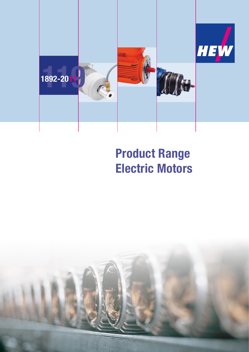

# **Product Range Electric Motors**

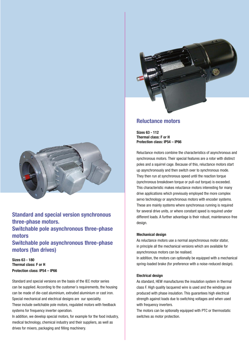

**Standard and special version synchronous three-phase motors. Switchable pole asynchronous three-phase motors Switchable pole asynchronous three-phase** 

**Sizes 63 - 180 Thermal class: F or H**

**Protection class: IP54 – IP66**

**motors (fan drives)** 

Standard and special versions on the basis of the IEC motor series can be supplied. According to the customer´s requirements, the housing can be made of die-cast aluminium, extruded aluminium or cast iron. Special mechanical and electrical designs are our speciality. These include switchable pole motors, regulated motors with feedback systems for frequency inverter operation.

In addition, we develop special motors, for example for the food industry, medical technology, chemical industry and their suppliers, as well as drives for mixers, packaging and filling machinery.



## **Reluctance motors**

**Sizes 63 - 112 Thermal class: F or H Protection class: IP54 – IP66**

Reluctance motors combine the characteristics of asynchronous and synchronous motors. Their special features are a rotor with distinct poles and a squirrel cage. Because of this, reluctance motors start up asynchronously and then switch over to synchronous mode. They then run at synchronous speed until the reaction torque (synchronous breakdown torque or pull-out torque) is exceeded. This characteristic makes reluctance motors interesting for many drive applications which previously employed the more complex servo technology or asynchronous motors with encoder systems. These are mainly systems where synchronous running is required for several drive units, or where constant speed is required under different loads. A further advantage is their robust, maintenance-free design.

### **Mechanical design**

As reluctance motors use a normal asynchronous motor stator, in principle all the mechanical versions which are available for asynchronous motors can be realised.

In addition, the motors can optionally be equipped with a mechanical spring-loaded brake (for preference with a noise-reduced design).

### **Electrical design**

As standard, HEW manufactures the insulation system in thermal class F. High quality lacquered wire is used and the windings are produced with phase insulation. This guarantees high electrical strength against loads due to switching voltages and when used with frequency inverters.

The motors can be optionally equipped with PTC or thermostatic switches as motor protection.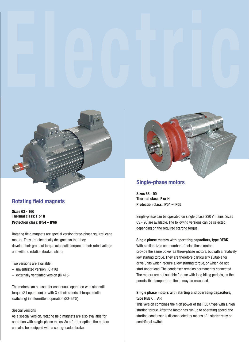

# **Rotating field magnets**

**Sizes 63 - 160 Thermal class: F or H Protection class: IP54 – IP66**

Rotating field magnets are special version three-phase squirrel cage motors. They are electrically designed so that they develop their greatest torque (standstill torque) at their rated voltage and with no rotation (braked shaft).

Two versions are available:

- unventilated version (IC 410)
- externally ventilated version (IC 416)

The motors can be used for continuous operation with standstill torque (S1 operation) or with 3 x their standstill torque (delta switching) in intermittent operation (S3-25%).

#### Special versions

As a special version, rotating field magnets are also available for operation with single-phase mains. As a further option, the motors can also be equipped with a spring-loaded brake.



## **Single-phase motors**

**Sizes 63 - 90 Thermal class: F or H Protection class: IP54 – IP55**

Single-phase can be operated on single phase 230 V mains. Sizes 63 - 90 are available. The following versions can be selected, depending on the required starting torque:

## **Single phase motors with operating capacitors, type REBK**

With similar sizes and number of poles these motors provide the same power as three-phase motors, but with a relatively low starting torque. They are therefore particularly suitable for drive units which require a low starting torque, or which do not start under load. The condenser remains permanently connected. The motors are not suitable for use with long idling periods, as the permissible temperature limits may be exceeded.

## **Single phase motors with starting and operating capacitors, type REBK ... AR**

This version combines the high power of the REBK type with a high starting torque. After the motor has run up to operating speed, the starting condenser is disconnected by means of a starter relay or centrifugal switch.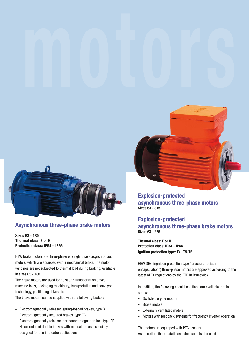

# **Asynchronous three-phase brake motors**

## **Sizes 63 - 180 Thermal class: F or H Protection class: IP54 – IP66**

HEW brake motors are three-phase or single phase asynchronous motors, which are equipped with a mechanical brake. The motor windings are not subjected to thermal load during braking. Available in sizes 63 - 180

The brake motors are used for hoist and transportation drives, machine tools, packaging machinery, transportation and conveyor technology, positioning drives etc.

The brake motors can be supplied with the following brakes:

- Electromagnetically released spring-loaded brakes, type B
- Electromagnetically actuated brakes, type EB
- Electromagnetically released permanent magnet brakes, type PB
- Noise-reduced double brakes with manual release, specially designed for use in theatre applications.



**Explosion-protected asynchronous three-phase motors Sizes 63 - 315**

## **Explosion-protected**

**asynchronous three-phase brake motors Sizes 63 - 225**

**Thermal class: F or H Protection class: IP54 – IP66 Ignition protection type: T4 , T5-T6**

HEW DEx (ingnition protection type "pressure-resistant encapsulation") three-phase motors are approved according to the latest ATEX regulations by the PTB in Brunswick.

In addition, the following special solutions are available in this series:

- · Switchable pole motors
- · Brake motors
- · Externally ventilated motors
- · Motors with feedback systems for frequency inverter operation

The motors are equipped with PTC sensors. As an option, thermostatic switches can also be used.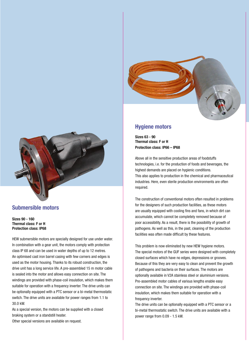

## **Submersible motors**

**Sizes 90 - 160 Thermal class: F or H Protection class: IP68**

HEW submersible motors are specially designed for use under water. In combination with a gear unit, the motors comply with protection class IP 68 and can be used in water depths of up to 12 metres. An optimised cast iron barrel casing with few corners and edges is used as the motor housing. Thanks to its robust construction, the drive unit has a long service life. A pre-assembled 15 m motor cable is sealed into the motor and allows easy connection on site. The windings are provided with phase-coil insulation, which makes them suitable for operation with a frequency inverter. The drive units can be optionally equipped with a PTC sensor or a bi-metal thermostatic switch. The drive units are available for power ranges from 1.1 to 30.0 kW.

As a special version, the motors can be supplied with a closed braking system or a standstill heater.

Other special versions are available on request.



# **Hygiene motors**

**Sizes 63 - 90 Thermal class: F or H Protection class: IP66 – IP68**

Above all in the sensitive production areas of foodstuffs technologies, i.e. for the production of foods and beverages, the highest demands are placed on hygienic conditions. This also applies to production in the chemical and pharmaceutical industries. Here, even sterile production environments are often required.

The construction of conventional motors often resulted in problems for the designers of such production facilities, as these motors are usually equipped with cooling fins and fans, in which dirt can accumulate, which cannot be completely removed because of poor accessibility. As a result, there is the possibility of growth of pathogens. As well as this, in the past, cleaning of the production facilities was often made difficult by these features.

This problem is now eliminated by new HEW hygiene motors. The special motors of the GUF series were designed with completely closed surfaces which have no edges, depressions or grooves. Because of this they are very easy to clean and prevent the growth of pathogens and bacteria on their surfaces. The motors are optionally available in V2A stainless steel or aluminium versions. Pre-assembled motor cables of various lengths enable easy connection on site. The windings are provided with phase-coil insulation, which makes them suitable for operation with a frequency inverter.

The drive units can be optionally equipped with a PTC sensor or a bi-metal thermostatic switch. The drive units are available with a power range from 0.09 - 1.5 kW.